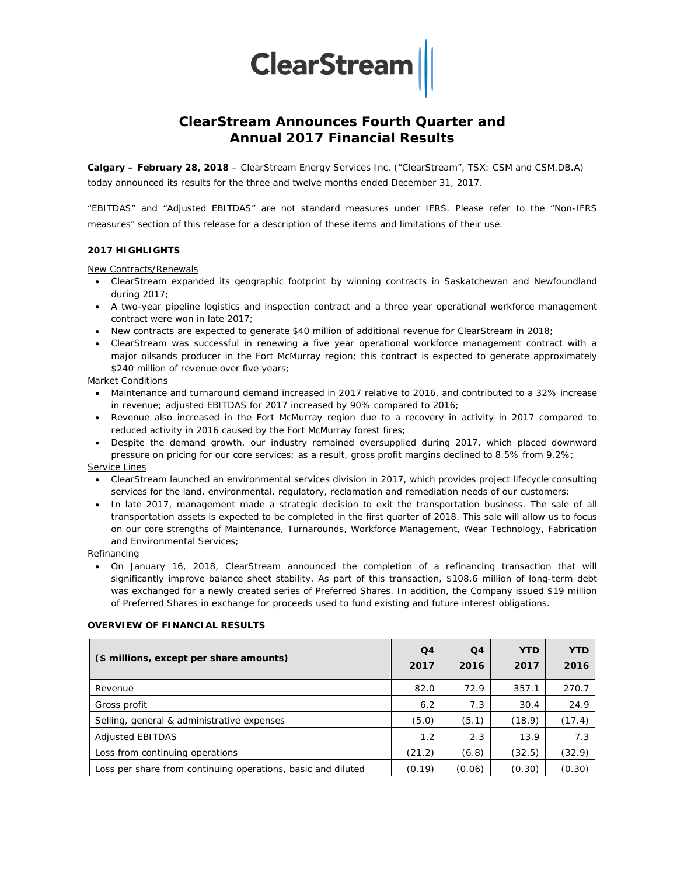**ClearStream** 

# **ClearStream Announces Fourth Quarter and Annual 2017 Financial Results**

**Calgary – February 28, 2018** – ClearStream Energy Services Inc. ("ClearStream", TSX: CSM and CSM.DB.A) today announced its results for the three and twelve months ended December 31, 2017.

"EBITDAS" and "Adjusted EBITDAS" are not standard measures under IFRS. Please refer to the "Non-IFRS measures" section of this release for a description of these items and limitations of their use.

### **2017 HIGHLIGHTS**

New Contracts/Renewals

- ClearStream expanded its geographic footprint by winning contracts in Saskatchewan and Newfoundland during 2017;
- A two-year pipeline logistics and inspection contract and a three year operational workforce management contract were won in late 2017;
- New contracts are expected to generate \$40 million of additional revenue for ClearStream in 2018;
- ClearStream was successful in renewing a five year operational workforce management contract with a major oilsands producer in the Fort McMurray region; this contract is expected to generate approximately \$240 million of revenue over five years;

#### Market Conditions

- Maintenance and turnaround demand increased in 2017 relative to 2016, and contributed to a 32% increase in revenue; adjusted EBITDAS for 2017 increased by 90% compared to 2016;
- Revenue also increased in the Fort McMurray region due to a recovery in activity in 2017 compared to reduced activity in 2016 caused by the Fort McMurray forest fires;
- Despite the demand growth, our industry remained oversupplied during 2017, which placed downward pressure on pricing for our core services; as a result, gross profit margins declined to 8.5% from 9.2%;

#### Service Lines

- ClearStream launched an environmental services division in 2017, which provides project lifecycle consulting services for the land, environmental, regulatory, reclamation and remediation needs of our customers;
- In late 2017, management made a strategic decision to exit the transportation business. The sale of all transportation assets is expected to be completed in the first quarter of 2018. This sale will allow us to focus on our core strengths of Maintenance, Turnarounds, Workforce Management, Wear Technology, Fabrication and Environmental Services;

#### **Refinancing**

• On January 16, 2018, ClearStream announced the completion of a refinancing transaction that will significantly improve balance sheet stability. As part of this transaction, \$108.6 million of long-term debt was exchanged for a newly created series of Preferred Shares. In addition, the Company issued \$19 million of Preferred Shares in exchange for proceeds used to fund existing and future interest obligations.

#### **OVERVIEW OF FINANCIAL RESULTS**

| (\$ millions, except per share amounts)                      | Q <sub>4</sub><br>2017 | Q4<br>2016 | <b>YTD</b><br>2017 | <b>YTD</b><br>2016 |
|--------------------------------------------------------------|------------------------|------------|--------------------|--------------------|
| Revenue                                                      | 82.0                   | 72.9       | 357.1              | 270.7              |
| Gross profit                                                 | 6.2                    | 7.3        | 30.4               | 24.9               |
| Selling, general & administrative expenses                   | (5.0)                  | (5.1)      | (18.9)             | (17.4)             |
| <b>Adjusted EBITDAS</b>                                      | 1.2                    | 2.3        | 13.9               | 7.3                |
| Loss from continuing operations                              | (21.2)                 | (6.8)      | (32.5)             | (32.9)             |
| Loss per share from continuing operations, basic and diluted | (0.19)                 | (0.06)     | (0.30)             | (0.30)             |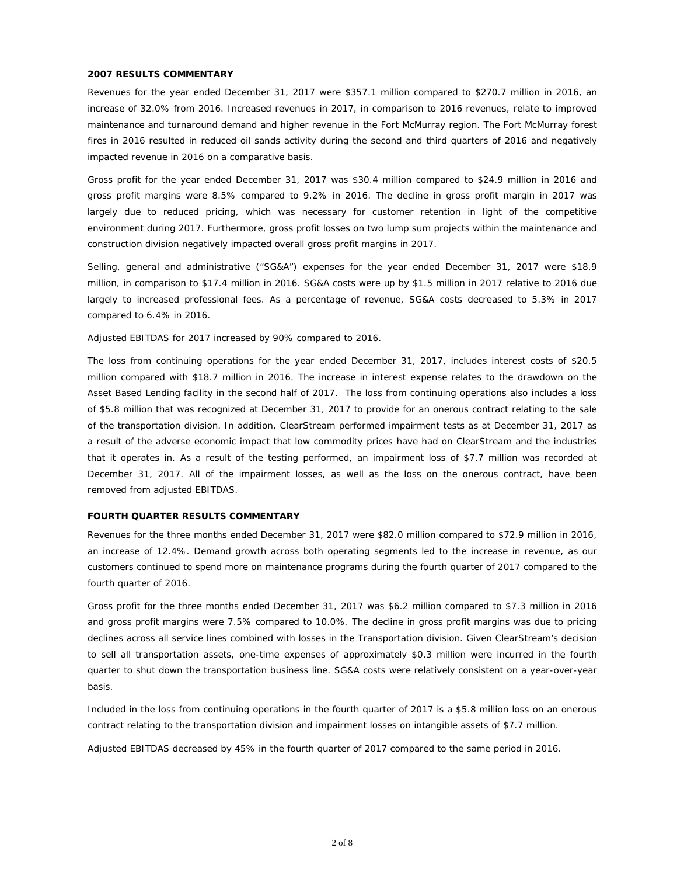#### **2007 RESULTS COMMENTARY**

Revenues for the year ended December 31, 2017 were \$357.1 million compared to \$270.7 million in 2016, an increase of 32.0% from 2016. Increased revenues in 2017, in comparison to 2016 revenues, relate to improved maintenance and turnaround demand and higher revenue in the Fort McMurray region. The Fort McMurray forest fires in 2016 resulted in reduced oil sands activity during the second and third quarters of 2016 and negatively impacted revenue in 2016 on a comparative basis.

Gross profit for the year ended December 31, 2017 was \$30.4 million compared to \$24.9 million in 2016 and gross profit margins were 8.5% compared to 9.2% in 2016. The decline in gross profit margin in 2017 was largely due to reduced pricing, which was necessary for customer retention in light of the competitive environment during 2017. Furthermore, gross profit losses on two lump sum projects within the maintenance and construction division negatively impacted overall gross profit margins in 2017.

Selling, general and administrative ("SG&A") expenses for the year ended December 31, 2017 were \$18.9 million, in comparison to \$17.4 million in 2016. SG&A costs were up by \$1.5 million in 2017 relative to 2016 due largely to increased professional fees. As a percentage of revenue, SG&A costs decreased to 5.3% in 2017 compared to 6.4% in 2016.

Adjusted EBITDAS for 2017 increased by 90% compared to 2016.

The loss from continuing operations for the year ended December 31, 2017, includes interest costs of \$20.5 million compared with \$18.7 million in 2016. The increase in interest expense relates to the drawdown on the Asset Based Lending facility in the second half of 2017. The loss from continuing operations also includes a loss of \$5.8 million that was recognized at December 31, 2017 to provide for an onerous contract relating to the sale of the transportation division. In addition, ClearStream performed impairment tests as at December 31, 2017 as a result of the adverse economic impact that low commodity prices have had on ClearStream and the industries that it operates in. As a result of the testing performed, an impairment loss of \$7.7 million was recorded at December 31, 2017. All of the impairment losses, as well as the loss on the onerous contract, have been removed from adjusted EBITDAS.

#### **FOURTH QUARTER RESULTS COMMENTARY**

Revenues for the three months ended December 31, 2017 were \$82.0 million compared to \$72.9 million in 2016, an increase of 12.4%. Demand growth across both operating segments led to the increase in revenue, as our customers continued to spend more on maintenance programs during the fourth quarter of 2017 compared to the fourth quarter of 2016.

Gross profit for the three months ended December 31, 2017 was \$6.2 million compared to \$7.3 million in 2016 and gross profit margins were 7.5% compared to 10.0%. The decline in gross profit margins was due to pricing declines across all service lines combined with losses in the Transportation division. Given ClearStream's decision to sell all transportation assets, one-time expenses of approximately \$0.3 million were incurred in the fourth quarter to shut down the transportation business line. SG&A costs were relatively consistent on a year-over-year basis.

Included in the loss from continuing operations in the fourth quarter of 2017 is a \$5.8 million loss on an onerous contract relating to the transportation division and impairment losses on intangible assets of \$7.7 million.

Adjusted EBITDAS decreased by 45% in the fourth quarter of 2017 compared to the same period in 2016.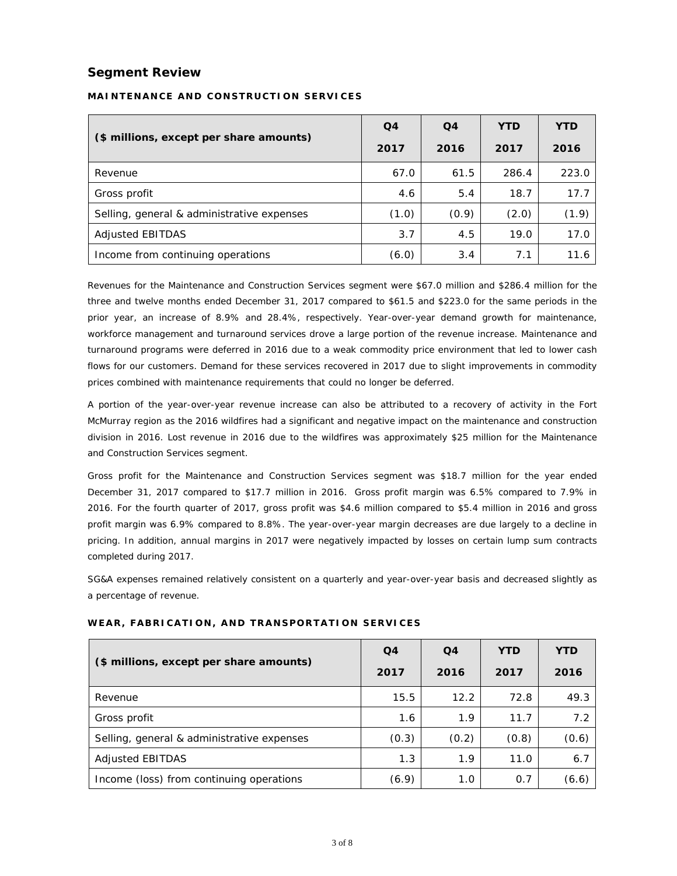## **Segment Review**

|                                            | Q <sub>4</sub> | Q <sub>4</sub> | <b>YTD</b> | <b>YTD</b> |
|--------------------------------------------|----------------|----------------|------------|------------|
| (\$ millions, except per share amounts)    | 2017           | 2016           | 2017       | 2016       |
| Revenue                                    | 67.0           | 61.5           | 286.4      | 223.0      |
| Gross profit                               | 4.6            | 5.4            | 18.7       | 17.7       |
| Selling, general & administrative expenses | (1.0)          | (0.9)          | (2.0)      | (1.9)      |
| <b>Adjusted EBITDAS</b>                    | 3.7            | 4.5            | 19.0       | 17.0       |
| Income from continuing operations          | (6.0)          | 3.4            | 7.1        | 11.6       |

### **MAINTENANCE AND CONSTRUCTION SERVICES**

Revenues for the Maintenance and Construction Services segment were \$67.0 million and \$286.4 million for the three and twelve months ended December 31, 2017 compared to \$61.5 and \$223.0 for the same periods in the prior year, an increase of 8.9% and 28.4%, respectively. Year-over-year demand growth for maintenance, workforce management and turnaround services drove a large portion of the revenue increase. Maintenance and turnaround programs were deferred in 2016 due to a weak commodity price environment that led to lower cash flows for our customers. Demand for these services recovered in 2017 due to slight improvements in commodity prices combined with maintenance requirements that could no longer be deferred.

A portion of the year-over-year revenue increase can also be attributed to a recovery of activity in the Fort McMurray region as the 2016 wildfires had a significant and negative impact on the maintenance and construction division in 2016. Lost revenue in 2016 due to the wildfires was approximately \$25 million for the Maintenance and Construction Services segment.

Gross profit for the Maintenance and Construction Services segment was \$18.7 million for the year ended December 31, 2017 compared to \$17.7 million in 2016. Gross profit margin was 6.5% compared to 7.9% in 2016. For the fourth quarter of 2017, gross profit was \$4.6 million compared to \$5.4 million in 2016 and gross profit margin was 6.9% compared to 8.8%. The year-over-year margin decreases are due largely to a decline in pricing. In addition, annual margins in 2017 were negatively impacted by losses on certain lump sum contracts completed during 2017.

SG&A expenses remained relatively consistent on a quarterly and year-over-year basis and decreased slightly as a percentage of revenue.

|                                            | Q <sub>4</sub> | Q <sub>4</sub> | <b>YTD</b> | <b>YTD</b> |
|--------------------------------------------|----------------|----------------|------------|------------|
| (\$ millions, except per share amounts)    | 2017           | 2016           | 2017       | 2016       |
| Revenue                                    | 15.5           | 12.2           | 72.8       | 49.3       |
| Gross profit                               | 1.6            | 1.9            | 11.7       | 7.2        |
| Selling, general & administrative expenses | (0.3)          | (0.2)          | (0.8)      | (0.6)      |
| Adjusted EBITDAS                           | 1.3            | 1.9            | 11.0       | 6.7        |
| Income (loss) from continuing operations   | (6.9)          | 1.0            | 0.7        | (6.6)      |

#### **WEAR, FABRICATION, AND TRANSPORTATION SERVICES**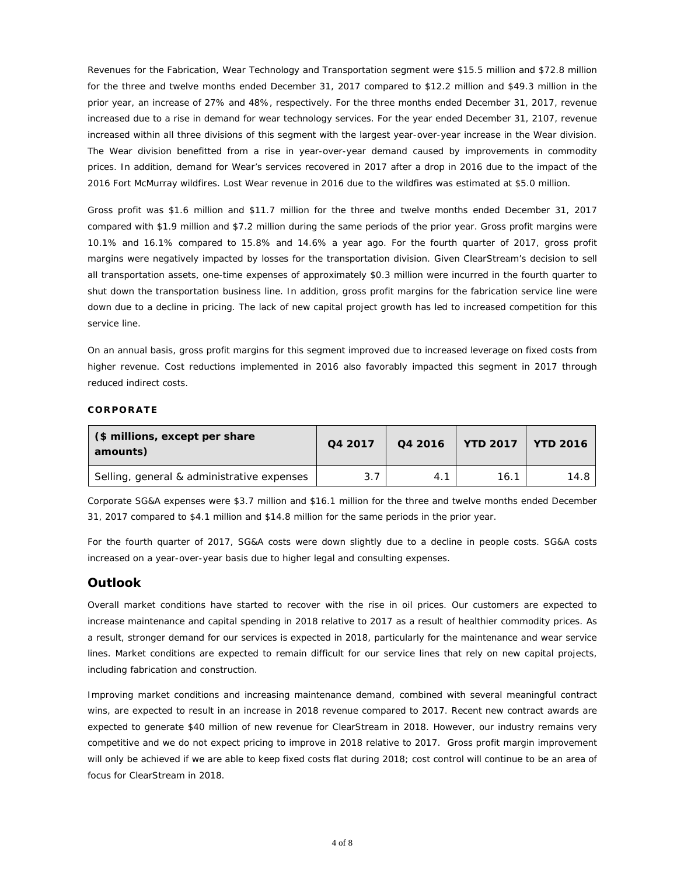Revenues for the Fabrication, Wear Technology and Transportation segment were \$15.5 million and \$72.8 million for the three and twelve months ended December 31, 2017 compared to \$12.2 million and \$49.3 million in the prior year, an increase of 27% and 48%, respectively. For the three months ended December 31, 2017, revenue increased due to a rise in demand for wear technology services. For the year ended December 31, 2107, revenue increased within all three divisions of this segment with the largest year-over-year increase in the Wear division. The Wear division benefitted from a rise in year-over-year demand caused by improvements in commodity prices. In addition, demand for Wear's services recovered in 2017 after a drop in 2016 due to the impact of the 2016 Fort McMurray wildfires. Lost Wear revenue in 2016 due to the wildfires was estimated at \$5.0 million.

Gross profit was \$1.6 million and \$11.7 million for the three and twelve months ended December 31, 2017 compared with \$1.9 million and \$7.2 million during the same periods of the prior year. Gross profit margins were 10.1% and 16.1% compared to 15.8% and 14.6% a year ago. For the fourth quarter of 2017, gross profit margins were negatively impacted by losses for the transportation division. Given ClearStream's decision to sell all transportation assets, one-time expenses of approximately \$0.3 million were incurred in the fourth quarter to shut down the transportation business line. In addition, gross profit margins for the fabrication service line were down due to a decline in pricing. The lack of new capital project growth has led to increased competition for this service line.

On an annual basis, gross profit margins for this segment improved due to increased leverage on fixed costs from higher revenue. Cost reductions implemented in 2016 also favorably impacted this segment in 2017 through reduced indirect costs.

#### **CORPORATE**

| (\$ millions, except per share)<br>amounts) | Q4 2017 | Q4 2016 | YTD 2017 YTD 2016 |      |
|---------------------------------------------|---------|---------|-------------------|------|
| Selling, general & administrative expenses  | 3.7     | 4.1     | 16.1              | 14.8 |

Corporate SG&A expenses were \$3.7 million and \$16.1 million for the three and twelve months ended December 31, 2017 compared to \$4.1 million and \$14.8 million for the same periods in the prior year.

For the fourth quarter of 2017, SG&A costs were down slightly due to a decline in people costs. SG&A costs increased on a year-over-year basis due to higher legal and consulting expenses.

### **Outlook**

Overall market conditions have started to recover with the rise in oil prices. Our customers are expected to increase maintenance and capital spending in 2018 relative to 2017 as a result of healthier commodity prices. As a result, stronger demand for our services is expected in 2018, particularly for the maintenance and wear service lines. Market conditions are expected to remain difficult for our service lines that rely on new capital projects, including fabrication and construction.

Improving market conditions and increasing maintenance demand, combined with several meaningful contract wins, are expected to result in an increase in 2018 revenue compared to 2017. Recent new contract awards are expected to generate \$40 million of new revenue for ClearStream in 2018. However, our industry remains very competitive and we do not expect pricing to improve in 2018 relative to 2017. Gross profit margin improvement will only be achieved if we are able to keep fixed costs flat during 2018; cost control will continue to be an area of focus for ClearStream in 2018.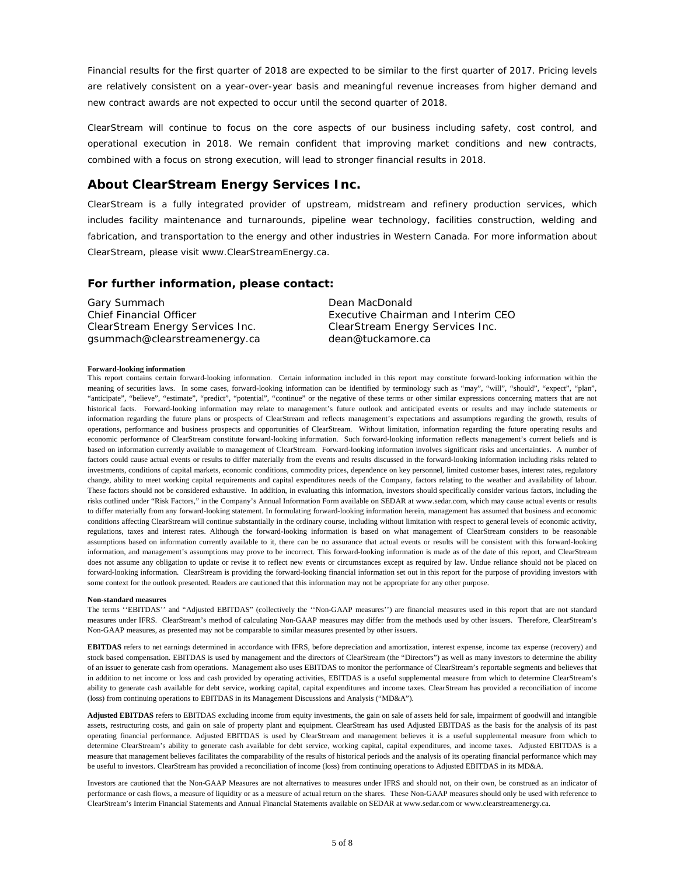Financial results for the first quarter of 2018 are expected to be similar to the first quarter of 2017. Pricing levels are relatively consistent on a year-over-year basis and meaningful revenue increases from higher demand and new contract awards are not expected to occur until the second quarter of 2018.

ClearStream will continue to focus on the core aspects of our business including safety, cost control, and operational execution in 2018. We remain confident that improving market conditions and new contracts, combined with a focus on strong execution, will lead to stronger financial results in 2018.

### **About ClearStream Energy Services Inc.**

ClearStream is a fully integrated provider of upstream, midstream and refinery production services, which includes facility maintenance and turnarounds, pipeline wear technology, facilities construction, welding and fabrication, and transportation to the energy and other industries in Western Canada. For more information about ClearStream, please visit [www.ClearStreamEnergy.ca.](http://www.clearstreamenergy.ca/)

### **For further information, please contact:**

Gary Summach Chief Financial Officer ClearStream Energy Services Inc. gsummach@clearstreamenergy.ca

Dean MacDonald Executive Chairman and Interim CEO ClearStream Energy Services Inc. dean@tuckamore.ca

#### **Forward-looking information**

This report contains certain forward-looking information. Certain information included in this report may constitute forward-looking information within the meaning of securities laws. In some cases, forward-looking information can be identified by terminology such as "may", "will", "should", "expect", "plan", "anticipate", "believe", "estimate", "predict", "potential", "continue" or the negative of these terms or other similar expressions concerning matters that are not historical facts. Forward-looking information may relate to management's future outlook and anticipated events or results and may include statements or information regarding the future plans or prospects of ClearStream and reflects management's expectations and assumptions regarding the growth, results of operations, performance and business prospects and opportunities of ClearStream. Without limitation, information regarding the future operating results and economic performance of ClearStream constitute forward-looking information. Such forward-looking information reflects management's current beliefs and is based on information currently available to management of ClearStream. Forward-looking information involves significant risks and uncertainties. A number of factors could cause actual events or results to differ materially from the events and results discussed in the forward-looking information including risks related to investments, conditions of capital markets, economic conditions, commodity prices, dependence on key personnel, limited customer bases, interest rates, regulatory change, ability to meet working capital requirements and capital expenditures needs of the Company, factors relating to the weather and availability of labour. These factors should not be considered exhaustive. In addition, in evaluating this information, investors should specifically consider various factors, including the risks outlined under "Risk Factors," in the Company's Annual Information Form available on SEDAR a[t www.sedar.com,](http://www.sedar.com/) which may cause actual events or results to differ materially from any forward-looking statement. In formulating forward-looking information herein, management has assumed that business and economic conditions affecting ClearStream will continue substantially in the ordinary course, including without limitation with respect to general levels of economic activity, regulations, taxes and interest rates. Although the forward-looking information is based on what management of ClearStream considers to be reasonable assumptions based on information currently available to it, there can be no assurance that actual events or results will be consistent with this forward-looking information, and management's assumptions may prove to be incorrect. This forward-looking information is made as of the date of this report, and ClearStream does not assume any obligation to update or revise it to reflect new events or circumstances except as required by law. Undue reliance should not be placed on forward-looking information. ClearStream is providing the forward-looking financial information set out in this report for the purpose of providing investors with some context for the outlook presented. Readers are cautioned that this information may not be appropriate for any other purpose.

#### **Non-standard measures**

The terms ''EBITDAS'' and "Adjusted EBITDAS" (collectively the ''Non-GAAP measures'') are financial measures used in this report that are not standard measures under IFRS. ClearStream's method of calculating Non-GAAP measures may differ from the methods used by other issuers. Therefore, ClearStream's Non-GAAP measures, as presented may not be comparable to similar measures presented by other issuers.

**EBITDAS** refers to net earnings determined in accordance with IFRS, before depreciation and amortization, interest expense, income tax expense (recovery) and stock based compensation. EBITDAS is used by management and the directors of ClearStream (the "Directors") as well as many investors to determine the ability of an issuer to generate cash from operations. Management also uses EBITDAS to monitor the performance of ClearStream's reportable segments and believes that in addition to net income or loss and cash provided by operating activities, EBITDAS is a useful supplemental measure from which to determine ClearStream's ability to generate cash available for debt service, working capital, capital expenditures and income taxes. ClearStream has provided a reconciliation of income (loss) from continuing operations to EBITDAS in its Management Discussions and Analysis ("MD&A").

**Adjusted EBITDAS** refers to EBITDAS excluding income from equity investments, the gain on sale of assets held for sale, impairment of goodwill and intangible assets, restructuring costs, and gain on sale of property plant and equipment. ClearStream has used Adjusted EBITDAS as the basis for the analysis of its past operating financial performance. Adjusted EBITDAS is used by ClearStream and management believes it is a useful supplemental measure from which to determine ClearStream's ability to generate cash available for debt service, working capital, capital expenditures, and income taxes. Adjusted EBITDAS is a measure that management believes facilitates the comparability of the results of historical periods and the analysis of its operating financial performance which may be useful to investors. ClearStream has provided a reconciliation of income (loss) from continuing operations to Adjusted EBITDAS in its MD&A.

Investors are cautioned that the Non-GAAP Measures are not alternatives to measures under IFRS and should not, on their own, be construed as an indicator of performance or cash flows, a measure of liquidity or as a measure of actual return on the shares. These Non-GAAP measures should only be used with reference to ClearStream's Interim Financial Statements and Annual Financial Statements available on SEDAR a[t www.sedar.com](http://www.sedar.com/) or www.clearstreamenergy.ca.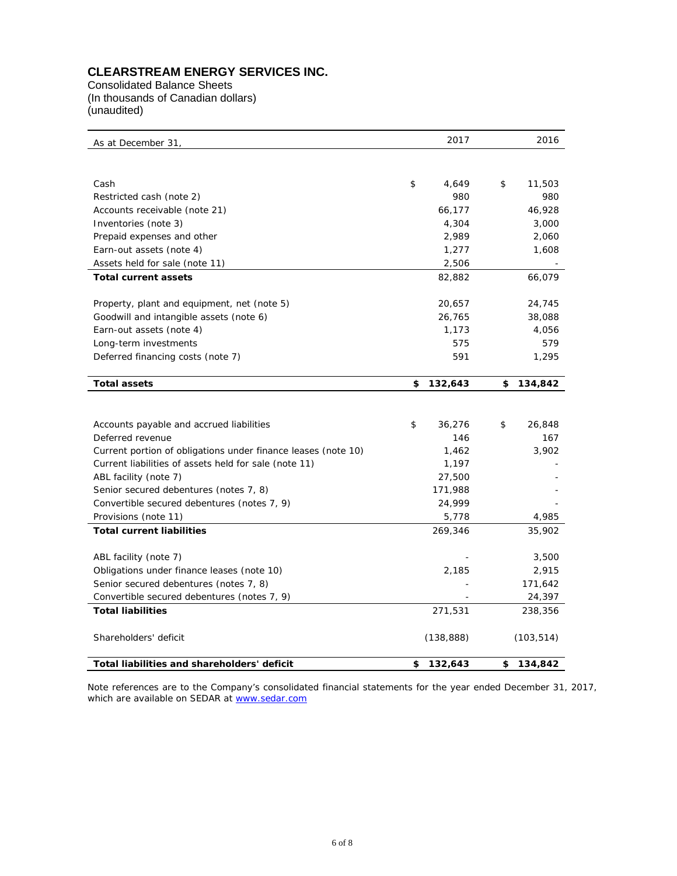# **CLEARSTREAM ENERGY SERVICES INC.**

Consolidated Balance Sheets (In thousands of Canadian dollars) (unaudited)

| As at December 31,                                            | 2017          | 2016          |
|---------------------------------------------------------------|---------------|---------------|
|                                                               |               |               |
| Cash                                                          | \$<br>4,649   | \$<br>11,503  |
| Restricted cash (note 2)                                      | 980           | 980           |
| Accounts receivable (note 21)                                 | 66,177        | 46,928        |
| Inventories (note 3)                                          | 4,304         | 3,000         |
| Prepaid expenses and other                                    | 2,989         | 2,060         |
| Earn-out assets (note 4)                                      | 1,277         | 1,608         |
| Assets held for sale (note 11)                                | 2,506         |               |
| <b>Total current assets</b>                                   | 82,882        | 66,079        |
| Property, plant and equipment, net (note 5)                   | 20,657        | 24,745        |
| Goodwill and intangible assets (note 6)                       | 26,765        | 38,088        |
| Earn-out assets (note 4)                                      | 1,173         | 4,056         |
| Long-term investments                                         | 575           | 579           |
| Deferred financing costs (note 7)                             | 591           | 1,295         |
| <b>Total assets</b>                                           | \$<br>132,643 | \$<br>134,842 |
|                                                               |               |               |
| Accounts payable and accrued liabilities                      | \$<br>36,276  | \$<br>26,848  |
| Deferred revenue                                              | 146           | 167           |
| Current portion of obligations under finance leases (note 10) | 1,462         | 3,902         |
| Current liabilities of assets held for sale (note 11)         | 1,197         |               |
| ABL facility (note 7)                                         | 27,500        |               |
| Senior secured debentures (notes 7, 8)                        | 171,988       |               |
| Convertible secured debentures (notes 7, 9)                   | 24,999        |               |
| Provisions (note 11)                                          | 5,778         | 4,985         |
| <b>Total current liabilities</b>                              | 269,346       | 35,902        |
| ABL facility (note 7)                                         |               | 3,500         |
| Obligations under finance leases (note 10)                    | 2,185         | 2,915         |
| Senior secured debentures (notes 7, 8)                        |               | 171,642       |
| Convertible secured debentures (notes 7, 9)                   |               | 24,397        |
| <b>Total liabilities</b>                                      | 271,531       | 238,356       |
| Shareholders' deficit                                         | (138, 888)    | (103, 514)    |
| Total liabilities and shareholders' deficit                   | \$<br>132,643 | \$<br>134,842 |

Note references are to the Company's consolidated financial statements for the year ended December 31, 2017, which are available on SEDAR at [www.sedar.com](http://www.sedar.com/)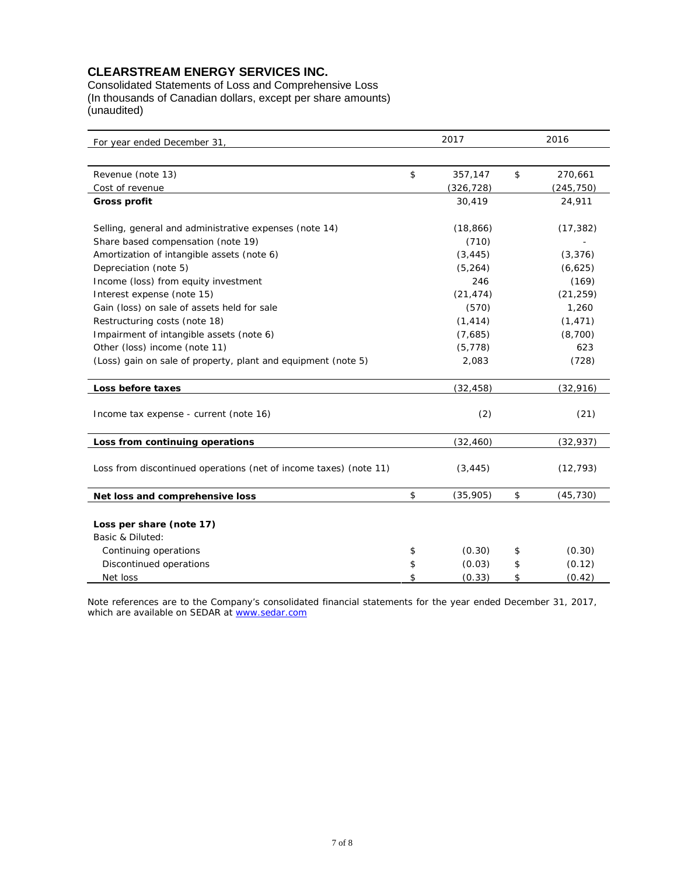### **CLEARSTREAM ENERGY SERVICES INC.**

Consolidated Statements of Loss and Comprehensive Loss (In thousands of Canadian dollars, except per share amounts) (unaudited)

| For year ended December 31,                                       | 2017  |            |    | 2016       |  |  |
|-------------------------------------------------------------------|-------|------------|----|------------|--|--|
|                                                                   |       |            |    |            |  |  |
| Revenue (note 13)                                                 | \$    | 357,147    | \$ | 270,661    |  |  |
| Cost of revenue                                                   |       | (326, 728) |    | (245, 750) |  |  |
| <b>Gross profit</b>                                               |       | 30,419     |    | 24,911     |  |  |
| Selling, general and administrative expenses (note 14)            |       | (18, 866)  |    | (17, 382)  |  |  |
| Share based compensation (note 19)                                |       | (710)      |    |            |  |  |
| Amortization of intangible assets (note 6)                        |       | (3, 445)   |    | (3, 376)   |  |  |
| Depreciation (note 5)                                             |       | (5, 264)   |    | (6,625)    |  |  |
| Income (loss) from equity investment                              |       | 246        |    | (169)      |  |  |
| Interest expense (note 15)                                        |       | (21, 474)  |    | (21, 259)  |  |  |
| Gain (loss) on sale of assets held for sale                       |       | (570)      |    | 1,260      |  |  |
| Restructuring costs (note 18)                                     |       | (1, 414)   |    | (1, 471)   |  |  |
| Impairment of intangible assets (note 6)                          |       | (7,685)    |    | (8,700)    |  |  |
| Other (loss) income (note 11)                                     |       | (5, 778)   |    | 623        |  |  |
| (Loss) gain on sale of property, plant and equipment (note 5)     | 2,083 |            |    | (728)      |  |  |
| Loss before taxes                                                 |       | (32, 458)  |    | (32, 916)  |  |  |
|                                                                   |       |            |    |            |  |  |
| Income tax expense - current (note 16)                            |       | (2)        |    | (21)       |  |  |
| Loss from continuing operations                                   |       | (32, 460)  |    | (32, 937)  |  |  |
| Loss from discontinued operations (net of income taxes) (note 11) |       | (3, 445)   |    | (12, 793)  |  |  |
|                                                                   |       |            |    |            |  |  |
| Net loss and comprehensive loss                                   | \$    | (35,905)   | \$ | (45, 730)  |  |  |
|                                                                   |       |            |    |            |  |  |
| Loss per share (note 17)                                          |       |            |    |            |  |  |
| Basic & Diluted:                                                  |       |            |    |            |  |  |
| Continuing operations                                             | \$    | (0.30)     | \$ | (0.30)     |  |  |
| Discontinued operations                                           | \$    | (0.03)     | \$ | (0.12)     |  |  |
| Net loss                                                          | \$    | (0.33)     | \$ | (0.42)     |  |  |

Note references are to the Company's consolidated financial statements for the year ended December 31, 2017, which are available on SEDAR at <u>www.sedar.com</u>